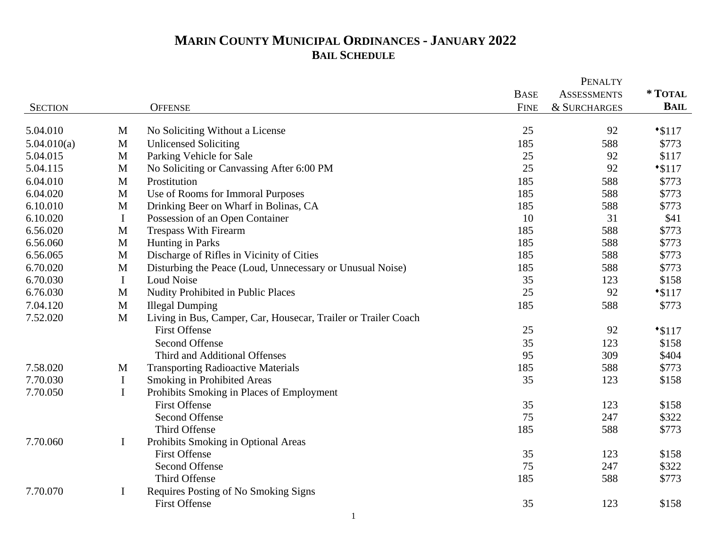|                         |              |                                                                 |             | <b>PENALTY</b>          |                  |
|-------------------------|--------------|-----------------------------------------------------------------|-------------|-------------------------|------------------|
|                         |              |                                                                 | <b>BASE</b> | <b>ASSESSMENTS</b>      | * TOTAL          |
| <b>SECTION</b>          |              | <b>OFFENSE</b>                                                  | <b>FINE</b> | <b>&amp; SURCHARGES</b> | <b>BAIL</b>      |
| 5.04.010                | M            |                                                                 | 25          | 92                      |                  |
|                         | $\mathbf{M}$ | No Soliciting Without a License<br><b>Unlicensed Soliciting</b> | 185         | 588                     | $*3117$<br>\$773 |
| 5.04.010(a)<br>5.04.015 | M            |                                                                 | 25          | 92                      | \$117            |
|                         | $\mathbf M$  | Parking Vehicle for Sale                                        | 25          | 92                      |                  |
| 5.04.115                |              | No Soliciting or Canvassing After 6:00 PM                       |             |                         | $*3117$          |
| 6.04.010                | M            | Prostitution                                                    | 185         | 588                     | \$773            |
| 6.04.020                | M            | Use of Rooms for Immoral Purposes                               | 185         | 588                     | \$773            |
| 6.10.010                | M            | Drinking Beer on Wharf in Bolinas, CA                           | 185         | 588                     | \$773            |
| 6.10.020                | $\bf{I}$     | Possession of an Open Container                                 | 10          | 31                      | \$41             |
| 6.56.020                | M            | <b>Trespass With Firearm</b>                                    | 185         | 588                     | \$773            |
| 6.56.060                | M            | Hunting in Parks                                                | 185         | 588                     | \$773            |
| 6.56.065                | M            | Discharge of Rifles in Vicinity of Cities                       | 185         | 588                     | \$773            |
| 6.70.020                | M            | Disturbing the Peace (Loud, Unnecessary or Unusual Noise)       | 185         | 588                     | \$773            |
| 6.70.030                | $\bf{I}$     | Loud Noise                                                      | 35          | 123                     | \$158            |
| 6.76.030                | M            | Nudity Prohibited in Public Places                              | 25          | 92                      | $*3117$          |
| 7.04.120                | M            | <b>Illegal Dumping</b>                                          | 185         | 588                     | \$773            |
| 7.52.020                | M            | Living in Bus, Camper, Car, Housecar, Trailer or Trailer Coach  |             |                         |                  |
|                         |              | <b>First Offense</b>                                            | 25          | 92                      | $*3117$          |
|                         |              | <b>Second Offense</b>                                           | 35          | 123                     | \$158            |
|                         |              | Third and Additional Offenses                                   | 95          | 309                     | \$404            |
| 7.58.020                | M            | <b>Transporting Radioactive Materials</b>                       | 185         | 588                     | \$773            |
| 7.70.030                | $\mathbf I$  | Smoking in Prohibited Areas                                     | 35          | 123                     | \$158            |
| 7.70.050                | $\mathbf I$  | Prohibits Smoking in Places of Employment                       |             |                         |                  |
|                         |              | <b>First Offense</b>                                            | 35          | 123                     | \$158            |
|                         |              | <b>Second Offense</b>                                           | 75          | 247                     | \$322            |
|                         |              | Third Offense                                                   | 185         | 588                     | \$773            |
| 7.70.060                | $\mathbf I$  | Prohibits Smoking in Optional Areas                             |             |                         |                  |
|                         |              | <b>First Offense</b>                                            | 35          | 123                     | \$158            |
|                         |              | Second Offense                                                  | 75          | 247                     | \$322            |
|                         |              | Third Offense                                                   | 185         | 588                     | \$773            |
| 7.70.070                | $\bf{I}$     | Requires Posting of No Smoking Signs                            |             |                         |                  |
|                         |              | <b>First Offense</b>                                            | 35          | 123                     | \$158            |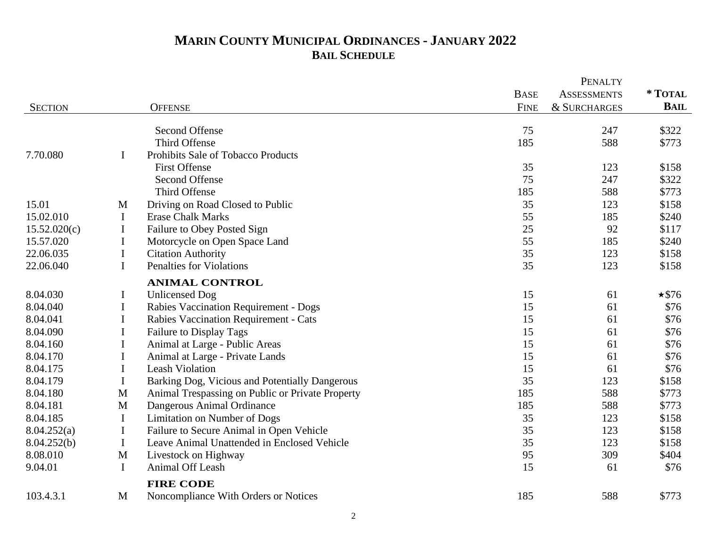|                |              |                                                  |             | <b>PENALTY</b>          |              |
|----------------|--------------|--------------------------------------------------|-------------|-------------------------|--------------|
|                |              |                                                  | <b>BASE</b> | <b>ASSESSMENTS</b>      | * TOTAL      |
| <b>SECTION</b> |              | <b>OFFENSE</b>                                   | <b>FINE</b> | <b>&amp; SURCHARGES</b> | <b>BAIL</b>  |
|                |              | <b>Second Offense</b>                            | 75          | 247                     | \$322        |
|                |              | Third Offense                                    | 185         | 588                     | \$773        |
| 7.70.080       | $\bf{I}$     | Prohibits Sale of Tobacco Products               |             |                         |              |
|                |              | <b>First Offense</b>                             | 35          | 123                     | \$158        |
|                |              | <b>Second Offense</b>                            | 75          | 247                     | \$322        |
|                |              | Third Offense                                    | 185         | 588                     | \$773        |
| 15.01          | M            | Driving on Road Closed to Public                 | 35          | 123                     | \$158        |
| 15.02.010      | $\bf{I}$     | <b>Erase Chalk Marks</b>                         | 55          | 185                     | \$240        |
| 15.52.020(c)   | I            | Failure to Obey Posted Sign                      | 25          | 92                      | \$117        |
| 15.57.020      | $\bf{I}$     | Motorcycle on Open Space Land                    | 55          | 185                     | \$240        |
| 22.06.035      | $\bf{I}$     | <b>Citation Authority</b>                        | 35          | 123                     | \$158        |
| 22.06.040      | I            | <b>Penalties for Violations</b>                  | 35          | 123                     | \$158        |
|                |              | <b>ANIMAL CONTROL</b>                            |             |                         |              |
| 8.04.030       | $\bf I$      | <b>Unlicensed Dog</b>                            | 15          | 61                      | $\star$ \$76 |
| 8.04.040       | $\mathbf I$  | Rabies Vaccination Requirement - Dogs            | 15          | 61                      | \$76         |
| 8.04.041       | $\bf{I}$     | Rabies Vaccination Requirement - Cats            | 15          | 61                      | \$76         |
| 8.04.090       | I            | Failure to Display Tags                          | 15          | 61                      | \$76         |
| 8.04.160       | $\mathbf I$  | Animal at Large - Public Areas                   | 15          | 61                      | \$76         |
| 8.04.170       | I            | Animal at Large - Private Lands                  | 15          | 61                      | \$76         |
| 8.04.175       | $\bf{I}$     | <b>Leash Violation</b>                           | 15          | 61                      | \$76         |
| 8.04.179       | $\mathbf I$  | Barking Dog, Vicious and Potentially Dangerous   | 35          | 123                     | \$158        |
| 8.04.180       | M            | Animal Trespassing on Public or Private Property | 185         | 588                     | \$773        |
| 8.04.181       | $\mathbf M$  | Dangerous Animal Ordinance                       | 185         | 588                     | \$773        |
| 8.04.185       | $\mathbf I$  | Limitation on Number of Dogs                     | 35          | 123                     | \$158        |
| 8.04.252(a)    | I            | Failure to Secure Animal in Open Vehicle         | 35          | 123                     | \$158        |
| 8.04.252(b)    | $\bf{I}$     | Leave Animal Unattended in Enclosed Vehicle      | 35          | 123                     | \$158        |
| 8.08.010       | $\mathbf{M}$ | Livestock on Highway                             | 95          | 309                     | \$404        |
| 9.04.01        | $\mathbf I$  | Animal Off Leash                                 | 15          | 61                      | \$76         |
|                |              | <b>FIRE CODE</b>                                 |             |                         |              |
| 103.4.3.1      | M            | Noncompliance With Orders or Notices             | 185         | 588                     | \$773        |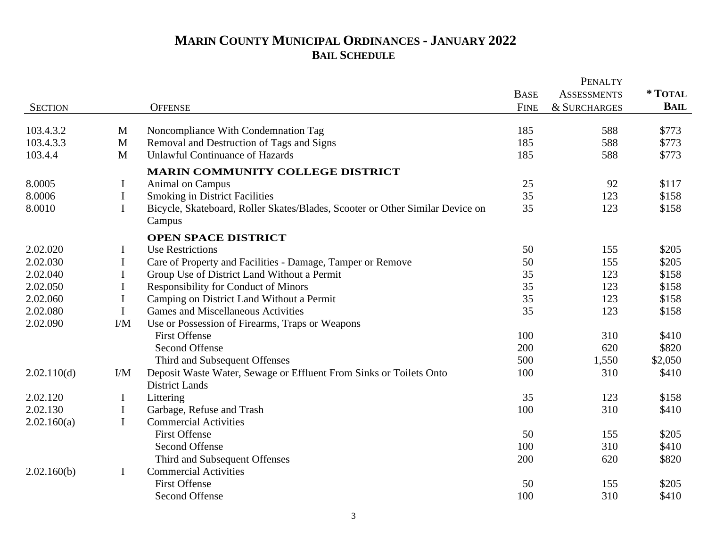|                |                 |                                                                                         |             | <b>PENALTY</b>          |             |
|----------------|-----------------|-----------------------------------------------------------------------------------------|-------------|-------------------------|-------------|
|                |                 |                                                                                         | <b>BASE</b> | <b>ASSESSMENTS</b>      | * TOTAL     |
| <b>SECTION</b> |                 | <b>OFFENSE</b>                                                                          | <b>FINE</b> | <b>&amp; SURCHARGES</b> | <b>BAIL</b> |
| 103.4.3.2      | M               | Noncompliance With Condemnation Tag                                                     | 185         | 588                     | \$773       |
| 103.4.3.3      | M               | Removal and Destruction of Tags and Signs                                               | 185         | 588                     | \$773       |
| 103.4.4        | M               | <b>Unlawful Continuance of Hazards</b>                                                  | 185         | 588                     | \$773       |
|                |                 | <b>MARIN COMMUNITY COLLEGE DISTRICT</b>                                                 |             |                         |             |
| 8.0005         | $\bf{I}$        | Animal on Campus                                                                        | 25          | 92                      | \$117       |
| 8.0006         | $\mathbf I$     | <b>Smoking in District Facilities</b>                                                   | 35          | 123                     | \$158       |
| 8.0010         | $\mathbf I$     | Bicycle, Skateboard, Roller Skates/Blades, Scooter or Other Similar Device on<br>Campus | 35          | 123                     | \$158       |
|                |                 | <b>OPEN SPACE DISTRICT</b>                                                              |             |                         |             |
| 2.02.020       | I               | <b>Use Restrictions</b>                                                                 | 50          | 155                     | \$205       |
| 2.02.030       | $\mathbf I$     | Care of Property and Facilities - Damage, Tamper or Remove                              | 50          | 155                     | \$205       |
| 2.02.040       | $\mathbf I$     | Group Use of District Land Without a Permit                                             | 35          | 123                     | \$158       |
| 2.02.050       | $\mathbf I$     | Responsibility for Conduct of Minors                                                    | 35          | 123                     | \$158       |
| 2.02.060       | $\bf{I}$        | Camping on District Land Without a Permit                                               | 35          | 123                     | \$158       |
| 2.02.080       | $\mathbf I$     | <b>Games and Miscellaneous Activities</b>                                               | 35          | 123                     | \$158       |
| 2.02.090       | $\rm{I}/\rm{M}$ | Use or Possession of Firearms, Traps or Weapons                                         |             |                         |             |
|                |                 | <b>First Offense</b>                                                                    | 100         | 310                     | \$410       |
|                |                 | <b>Second Offense</b>                                                                   | 200         | 620                     | \$820       |
|                |                 | Third and Subsequent Offenses                                                           | 500         | 1,550                   | \$2,050     |
| 2.02.110(d)    | I/M             | Deposit Waste Water, Sewage or Effluent From Sinks or Toilets Onto                      | 100         | 310                     | \$410       |
|                |                 | <b>District Lands</b>                                                                   |             |                         |             |
| 2.02.120       | $\bf{I}$        | Littering                                                                               | 35          | 123                     | \$158       |
| 2.02.130       | $\mathbf I$     | Garbage, Refuse and Trash                                                               | 100         | 310                     | \$410       |
| 2.02.160(a)    | $\mathbf I$     | <b>Commercial Activities</b>                                                            |             |                         |             |
|                |                 | <b>First Offense</b>                                                                    | 50          | 155                     | \$205       |
|                |                 | Second Offense                                                                          | 100         | 310                     | \$410       |
|                |                 | Third and Subsequent Offenses                                                           | 200         | 620                     | \$820       |
| 2.02.160(b)    | $\bf{I}$        | <b>Commercial Activities</b>                                                            |             |                         |             |
|                |                 | <b>First Offense</b>                                                                    | 50          | 155                     | \$205       |
|                |                 | Second Offense                                                                          | 100         | 310                     | \$410       |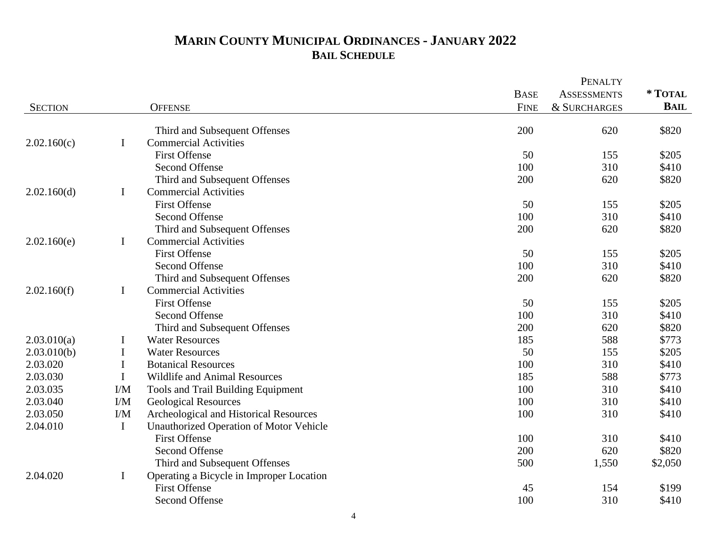|                |             |                                          |             | <b>PENALTY</b>     |             |
|----------------|-------------|------------------------------------------|-------------|--------------------|-------------|
|                |             |                                          | <b>BASE</b> | <b>ASSESSMENTS</b> | * TOTAL     |
| <b>SECTION</b> |             | <b>OFFENSE</b>                           | <b>FINE</b> | & SURCHARGES       | <b>BAIL</b> |
|                |             | Third and Subsequent Offenses            | 200         | 620                | \$820       |
| 2.02.160(c)    | $\bf{I}$    | <b>Commercial Activities</b>             |             |                    |             |
|                |             | <b>First Offense</b>                     | 50          | 155                | \$205       |
|                |             | Second Offense                           | 100         | 310                | \$410       |
|                |             | Third and Subsequent Offenses            | 200         | 620                | \$820       |
| 2.02.160(d)    | $\mathbf I$ | <b>Commercial Activities</b>             |             |                    |             |
|                |             | <b>First Offense</b>                     | 50          | 155                | \$205       |
|                |             | <b>Second Offense</b>                    | 100         | 310                | \$410       |
|                |             | Third and Subsequent Offenses            | 200         | 620                | \$820       |
| 2.02.160(e)    | $\mathbf I$ | <b>Commercial Activities</b>             |             |                    |             |
|                |             | <b>First Offense</b>                     | 50          | 155                | \$205       |
|                |             | <b>Second Offense</b>                    | 100         | 310                | \$410       |
|                |             | Third and Subsequent Offenses            | 200         | 620                | \$820       |
| 2.02.160(f)    | $\bf{I}$    | <b>Commercial Activities</b>             |             |                    |             |
|                |             | <b>First Offense</b>                     | 50          | 155                | \$205       |
|                |             | <b>Second Offense</b>                    | 100         | 310                | \$410       |
|                |             | Third and Subsequent Offenses            | 200         | 620                | \$820       |
| 2.03.010(a)    | $\mathbf I$ | <b>Water Resources</b>                   | 185         | 588                | \$773       |
| 2.03.010(b)    | $\mathbf I$ | <b>Water Resources</b>                   | 50          | 155                | \$205       |
| 2.03.020       | $\bf{I}$    | <b>Botanical Resources</b>               | 100         | 310                | \$410       |
| 2.03.030       | $\mathbf I$ | <b>Wildlife and Animal Resources</b>     | 185         | 588                | \$773       |
| 2.03.035       | I/M         | Tools and Trail Building Equipment       | 100         | 310                | \$410       |
| 2.03.040       | I/M         | <b>Geological Resources</b>              | 100         | 310                | \$410       |
| 2.03.050       | I/M         | Archeological and Historical Resources   | 100         | 310                | \$410       |
| 2.04.010       | $\mathbf I$ | Unauthorized Operation of Motor Vehicle  |             |                    |             |
|                |             | <b>First Offense</b>                     | 100         | 310                | \$410       |
|                |             | <b>Second Offense</b>                    | 200         | 620                | \$820       |
|                |             | Third and Subsequent Offenses            | 500         | 1,550              | \$2,050     |
| 2.04.020       | $\mathbf I$ | Operating a Bicycle in Improper Location |             |                    |             |
|                |             | <b>First Offense</b>                     | 45          | 154                | \$199       |
|                |             | <b>Second Offense</b>                    | 100         | 310                | \$410       |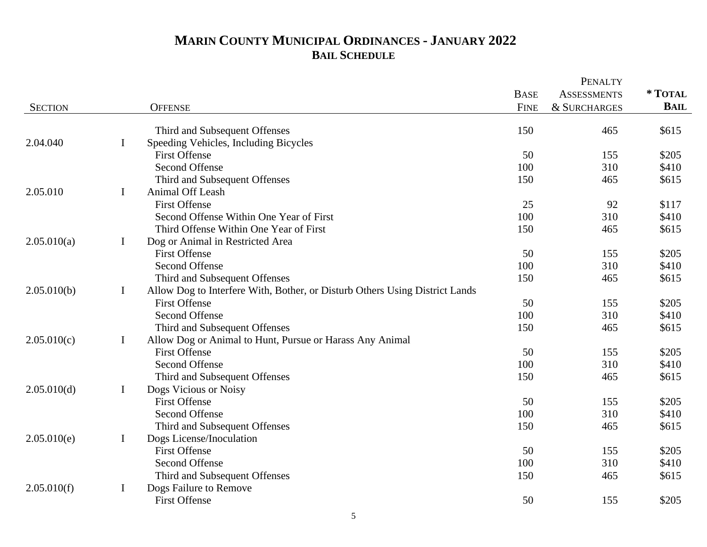|                |             |                                                                             |             | <b>PENALTY</b>          |             |
|----------------|-------------|-----------------------------------------------------------------------------|-------------|-------------------------|-------------|
|                |             |                                                                             | <b>BASE</b> | <b>ASSESSMENTS</b>      | * TOTAL     |
| <b>SECTION</b> |             | <b>OFFENSE</b>                                                              | <b>FINE</b> | <b>&amp; SURCHARGES</b> | <b>BAIL</b> |
|                |             | Third and Subsequent Offenses                                               | 150         | 465                     | \$615       |
| 2.04.040       | $\bf{I}$    | Speeding Vehicles, Including Bicycles                                       |             |                         |             |
|                |             | <b>First Offense</b>                                                        | 50          | 155                     | \$205       |
|                |             | <b>Second Offense</b>                                                       | 100         | 310                     | \$410       |
|                |             | Third and Subsequent Offenses                                               | 150         | 465                     | \$615       |
| 2.05.010       | $\mathbf I$ | Animal Off Leash                                                            |             |                         |             |
|                |             | <b>First Offense</b>                                                        | 25          | 92                      | \$117       |
|                |             | Second Offense Within One Year of First                                     | 100         | 310                     | \$410       |
|                |             | Third Offense Within One Year of First                                      | 150         | 465                     | \$615       |
| 2.05.010(a)    | $\bf{I}$    | Dog or Animal in Restricted Area                                            |             |                         |             |
|                |             | <b>First Offense</b>                                                        | 50          | 155                     | \$205       |
|                |             | <b>Second Offense</b>                                                       | 100         | 310                     | \$410       |
|                |             | Third and Subsequent Offenses                                               | 150         | 465                     | \$615       |
| 2.05.010(b)    | $\bf{I}$    | Allow Dog to Interfere With, Bother, or Disturb Others Using District Lands |             |                         |             |
|                |             | <b>First Offense</b>                                                        | 50          | 155                     | \$205       |
|                |             | <b>Second Offense</b>                                                       | 100         | 310                     | \$410       |
|                |             | Third and Subsequent Offenses                                               | 150         | 465                     | \$615       |
| 2.05.010(c)    | $\mathbf I$ | Allow Dog or Animal to Hunt, Pursue or Harass Any Animal                    |             |                         |             |
|                |             | <b>First Offense</b>                                                        | 50          | 155                     | \$205       |
|                |             | Second Offense                                                              | 100         | 310                     | \$410       |
|                |             | Third and Subsequent Offenses                                               | 150         | 465                     | \$615       |
| 2.05.010(d)    | $\bf{I}$    | Dogs Vicious or Noisy                                                       |             |                         |             |
|                |             | <b>First Offense</b>                                                        | 50          | 155                     | \$205       |
|                |             | <b>Second Offense</b>                                                       | 100         | 310                     | \$410       |
|                |             | Third and Subsequent Offenses                                               | 150         | 465                     | \$615       |
| 2.05.010(e)    | $\mathbf I$ | Dogs License/Inoculation                                                    |             |                         |             |
|                |             | <b>First Offense</b>                                                        | 50          | 155                     | \$205       |
|                |             | <b>Second Offense</b>                                                       | 100         | 310                     | \$410       |
|                |             | Third and Subsequent Offenses                                               | 150         | 465                     | \$615       |
| 2.05.010(f)    | $\bf{I}$    | Dogs Failure to Remove                                                      |             |                         |             |
|                |             | <b>First Offense</b>                                                        | 50          | 155                     | \$205       |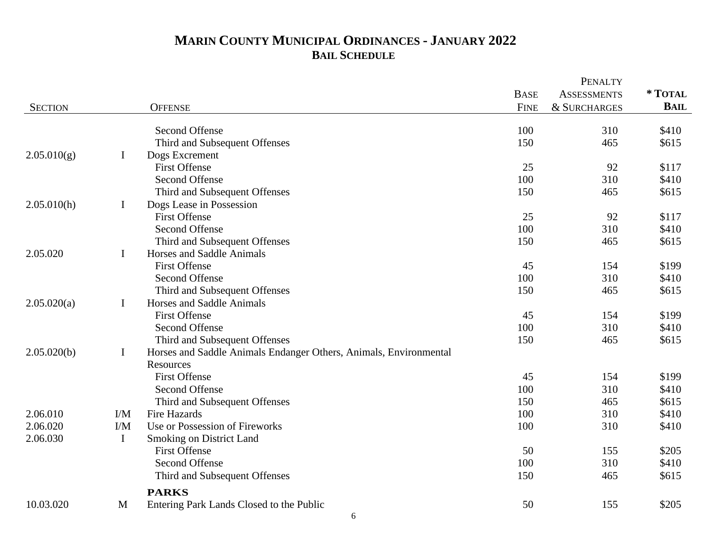|                |             |                                                                   |             | PENALTY            |             |
|----------------|-------------|-------------------------------------------------------------------|-------------|--------------------|-------------|
|                |             |                                                                   | <b>BASE</b> | <b>ASSESSMENTS</b> | *TOTAL      |
| <b>SECTION</b> |             | <b>OFFENSE</b>                                                    | <b>FINE</b> | & SURCHARGES       | <b>BAIL</b> |
|                |             | Second Offense                                                    | 100         | 310                | \$410       |
|                |             | Third and Subsequent Offenses                                     | 150         | 465                | \$615       |
| 2.05.010(g)    | $\mathbf I$ |                                                                   |             |                    |             |
|                |             | Dogs Excrement<br><b>First Offense</b>                            | 25          | 92                 | \$117       |
|                |             | Second Offense                                                    | 100         | 310                | \$410       |
|                |             | Third and Subsequent Offenses                                     | 150         | 465                | \$615       |
| 2.05.010(h)    | $\mathbf I$ |                                                                   |             |                    |             |
|                |             | Dogs Lease in Possession<br><b>First Offense</b>                  | 25          | 92                 |             |
|                |             |                                                                   |             |                    | \$117       |
|                |             | Second Offense                                                    | 100<br>150  | 310<br>465         | \$410       |
|                |             | Third and Subsequent Offenses                                     |             |                    | \$615       |
| 2.05.020       | $\bf{I}$    | Horses and Saddle Animals                                         |             |                    |             |
|                |             | <b>First Offense</b>                                              | 45          | 154                | \$199       |
|                |             | Second Offense                                                    | 100         | 310                | \$410       |
|                |             | Third and Subsequent Offenses                                     | 150         | 465                | \$615       |
| 2.05.020(a)    | $\bf{I}$    | Horses and Saddle Animals                                         |             |                    |             |
|                |             | <b>First Offense</b>                                              | 45          | 154                | \$199       |
|                |             | Second Offense                                                    | 100         | 310                | \$410       |
|                |             | Third and Subsequent Offenses                                     | 150         | 465                | \$615       |
| 2.05.020(b)    | $\bf{I}$    | Horses and Saddle Animals Endanger Others, Animals, Environmental |             |                    |             |
|                |             | Resources                                                         |             |                    |             |
|                |             | <b>First Offense</b>                                              | 45          | 154                | \$199       |
|                |             | Second Offense                                                    | 100         | 310                | \$410       |
|                |             | Third and Subsequent Offenses                                     | 150         | 465                | \$615       |
| 2.06.010       | I/M         | <b>Fire Hazards</b>                                               | 100         | 310                | \$410       |
| 2.06.020       | $VM$        | Use or Possession of Fireworks                                    | 100         | 310                | \$410       |
| 2.06.030       | $\mathbf I$ | Smoking on District Land                                          |             |                    |             |
|                |             | <b>First Offense</b>                                              | 50          | 155                | \$205       |
|                |             | Second Offense                                                    | 100         | 310                | \$410       |
|                |             | Third and Subsequent Offenses                                     | 150         | 465                | \$615       |
|                |             | <b>PARKS</b>                                                      |             |                    |             |
| 10.03.020      | M           | Entering Park Lands Closed to the Public                          | 50          | 155                | \$205       |
|                |             |                                                                   |             |                    |             |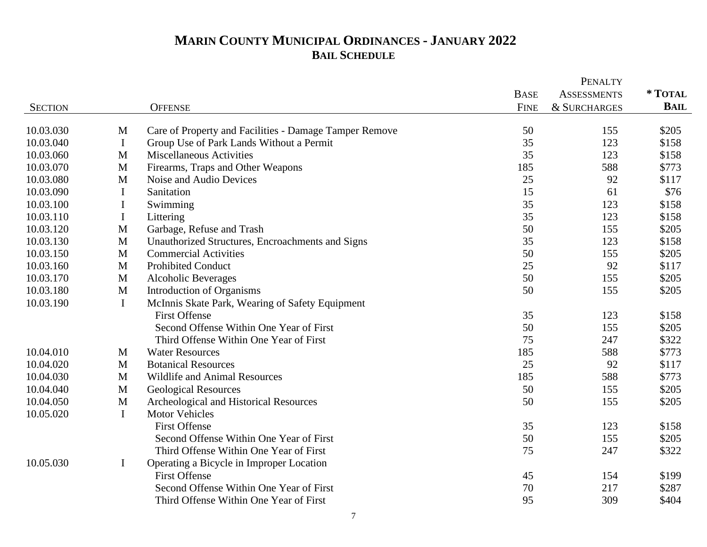|                |              |                                                        |             | <b>PENALTY</b>          |             |
|----------------|--------------|--------------------------------------------------------|-------------|-------------------------|-------------|
|                |              |                                                        | <b>BASE</b> | <b>ASSESSMENTS</b>      | * TOTAL     |
| <b>SECTION</b> |              | <b>OFFENSE</b>                                         | <b>FINE</b> | <b>&amp; SURCHARGES</b> | <b>BAIL</b> |
| 10.03.030      | M            | Care of Property and Facilities - Damage Tamper Remove | 50          | 155                     | \$205       |
| 10.03.040      | $\mathbf I$  | Group Use of Park Lands Without a Permit               | 35          | 123                     | \$158       |
| 10.03.060      | M            | Miscellaneous Activities                               | 35          | 123                     | \$158       |
| 10.03.070      | M            | Firearms, Traps and Other Weapons                      | 185         | 588                     | \$773       |
| 10.03.080      | M            | Noise and Audio Devices                                | 25          | 92                      | \$117       |
| 10.03.090      | I            | Sanitation                                             | 15          | 61                      | \$76        |
| 10.03.100      | $\bf{I}$     | Swimming                                               | 35          | 123                     | \$158       |
| 10.03.110      | $\bf{I}$     | Littering                                              | 35          | 123                     | \$158       |
| 10.03.120      | M            | Garbage, Refuse and Trash                              | 50          | 155                     | \$205       |
| 10.03.130      | $\mathbf{M}$ | Unauthorized Structures, Encroachments and Signs       | 35          | 123                     | \$158       |
| 10.03.150      | M            | <b>Commercial Activities</b>                           | 50          | 155                     | \$205       |
| 10.03.160      | M            | <b>Prohibited Conduct</b>                              | 25          | 92                      | \$117       |
| 10.03.170      | M            | <b>Alcoholic Beverages</b>                             | 50          | 155                     | \$205       |
| 10.03.180      | M            | Introduction of Organisms                              | 50          | 155                     | \$205       |
| 10.03.190      | $\mathbf I$  | McInnis Skate Park, Wearing of Safety Equipment        |             |                         |             |
|                |              | <b>First Offense</b>                                   | 35          | 123                     | \$158       |
|                |              | Second Offense Within One Year of First                | 50          | 155                     | \$205       |
|                |              | Third Offense Within One Year of First                 | 75          | 247                     | \$322       |
| 10.04.010      | M            | <b>Water Resources</b>                                 | 185         | 588                     | \$773       |
| 10.04.020      | M            | <b>Botanical Resources</b>                             | 25          | 92                      | \$117       |
| 10.04.030      | M            | Wildlife and Animal Resources                          | 185         | 588                     | \$773       |
| 10.04.040      | M            | <b>Geological Resources</b>                            | 50          | 155                     | \$205       |
| 10.04.050      | M            | Archeological and Historical Resources                 | 50          | 155                     | \$205       |
| 10.05.020      | $\mathbf I$  | <b>Motor Vehicles</b>                                  |             |                         |             |
|                |              | <b>First Offense</b>                                   | 35          | 123                     | \$158       |
|                |              | Second Offense Within One Year of First                | 50          | 155                     | \$205       |
|                |              | Third Offense Within One Year of First                 | 75          | 247                     | \$322       |
| 10.05.030      | $\bf{I}$     | Operating a Bicycle in Improper Location               |             |                         |             |
|                |              | <b>First Offense</b>                                   | 45          | 154                     | \$199       |
|                |              | Second Offense Within One Year of First                | 70          | 217                     | \$287       |
|                |              | Third Offense Within One Year of First                 | 95          | 309                     | \$404       |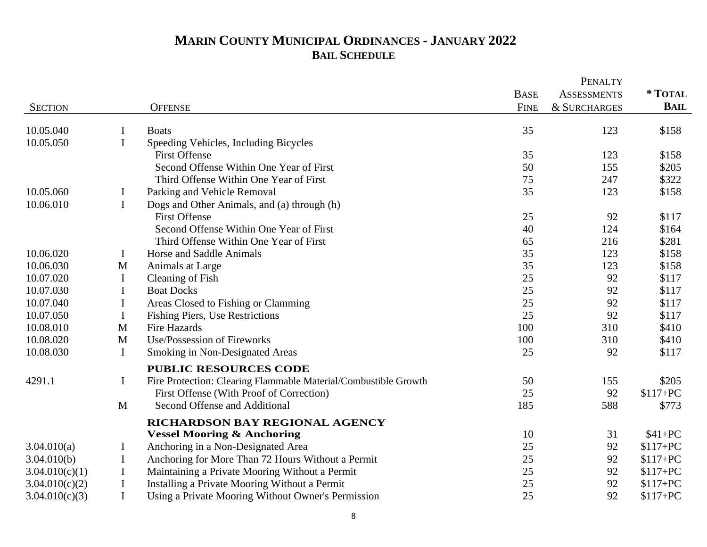|                |              |                                                                 |             | PENALTY                 |             |
|----------------|--------------|-----------------------------------------------------------------|-------------|-------------------------|-------------|
|                |              |                                                                 | <b>BASE</b> | <b>ASSESSMENTS</b>      | * TOTAL     |
| <b>SECTION</b> |              | <b>OFFENSE</b>                                                  | <b>FINE</b> | <b>&amp; SURCHARGES</b> | <b>BAIL</b> |
| 10.05.040      | $\bf{I}$     | <b>Boats</b>                                                    | 35          | 123                     | \$158       |
| 10.05.050      | I            | Speeding Vehicles, Including Bicycles                           |             |                         |             |
|                |              | <b>First Offense</b>                                            | 35          | 123                     | \$158       |
|                |              | Second Offense Within One Year of First                         | 50          | 155                     | \$205       |
|                |              | Third Offense Within One Year of First                          | 75          | 247                     | \$322       |
| 10.05.060      | I            | Parking and Vehicle Removal                                     | 35          | 123                     | \$158       |
| 10.06.010      | $\mathbf I$  | Dogs and Other Animals, and (a) through (h)                     |             |                         |             |
|                |              | <b>First Offense</b>                                            | 25          | 92                      | \$117       |
|                |              | Second Offense Within One Year of First                         | 40          | 124                     | \$164       |
|                |              | Third Offense Within One Year of First                          | 65          | 216                     | \$281       |
| 10.06.020      | $\bf{I}$     | Horse and Saddle Animals                                        | 35          | 123                     | \$158       |
| 10.06.030      | M            | Animals at Large                                                | 35          | 123                     | \$158       |
| 10.07.020      | $\bf{I}$     | Cleaning of Fish                                                | 25          | 92                      | \$117       |
| 10.07.030      | I            | <b>Boat Docks</b>                                               | 25          | 92                      | \$117       |
| 10.07.040      | I            | Areas Closed to Fishing or Clamming                             | 25          | 92                      | \$117       |
| 10.07.050      | $\bf{I}$     | Fishing Piers, Use Restrictions                                 | 25          | 92                      | \$117       |
| 10.08.010      | M            | Fire Hazards                                                    | 100         | 310                     | \$410       |
| 10.08.020      | M            | Use/Possession of Fireworks                                     | 100         | 310                     | \$410       |
| 10.08.030      | I            | <b>Smoking in Non-Designated Areas</b>                          | 25          | 92                      | \$117       |
|                |              | <b>PUBLIC RESOURCES CODE</b>                                    |             |                         |             |
| 4291.1         | $\bf{I}$     | Fire Protection: Clearing Flammable Material/Combustible Growth | 50          | 155                     | \$205       |
|                |              | First Offense (With Proof of Correction)                        | 25          | 92                      | $$117+PC$   |
|                | $\mathbf{M}$ | Second Offense and Additional                                   | 185         | 588                     | \$773       |
|                |              | RICHARDSON BAY REGIONAL AGENCY                                  |             |                         |             |
|                |              | <b>Vessel Mooring &amp; Anchoring</b>                           | 10          | 31                      | $$41+PC$    |
| 3.04.010(a)    | I            | Anchoring in a Non-Designated Area                              | 25          | 92                      | $$117+PC$   |
| 3.04.010(b)    | $\mathbf I$  | Anchoring for More Than 72 Hours Without a Permit               | 25          | 92                      | $$117+PC$   |
| 3.04.010(c)(1) | $\mathbf I$  | Maintaining a Private Mooring Without a Permit                  | 25          | 92                      | $$117+PC$   |
| 3.04.010(c)(2) | $\mathbf I$  | Installing a Private Mooring Without a Permit                   | 25          | 92                      | $$117+PC$   |
| 3.04.010(c)(3) | $\bf I$      | Using a Private Mooring Without Owner's Permission              | 25          | 92                      | $$117+PC$   |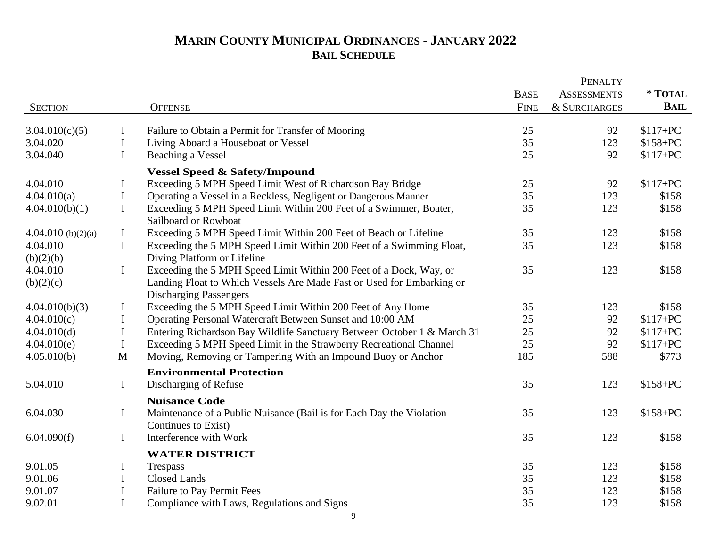|                       |              |                                                                                                       |             | <b>PENALTY</b>     |             |
|-----------------------|--------------|-------------------------------------------------------------------------------------------------------|-------------|--------------------|-------------|
|                       |              |                                                                                                       | <b>BASE</b> | <b>ASSESSMENTS</b> | * TOTAL     |
| <b>SECTION</b>        |              | <b>OFFENSE</b>                                                                                        | <b>FINE</b> | & SURCHARGES       | <b>BAIL</b> |
| 3.04.010(c)(5)        | $\bf{I}$     | Failure to Obtain a Permit for Transfer of Mooring                                                    | 25          | 92                 | $$117+PC$   |
| 3.04.020              | $\bf{I}$     | Living Aboard a Houseboat or Vessel                                                                   | 35          | 123                | $$158+PC$   |
| 3.04.040              | $\mathbf I$  | Beaching a Vessel                                                                                     | 25          | 92                 | $$117+PC$   |
|                       |              |                                                                                                       |             |                    |             |
| 4.04.010              | $\bf{I}$     | <b>Vessel Speed &amp; Safety/Impound</b><br>Exceeding 5 MPH Speed Limit West of Richardson Bay Bridge | 25          | 92                 | $$117+PC$   |
| 4.04.010(a)           | $\mathbf I$  | Operating a Vessel in a Reckless, Negligent or Dangerous Manner                                       | 35          | 123                | \$158       |
| 4.04.010(b)(1)        | $\mathbf I$  | Exceeding 5 MPH Speed Limit Within 200 Feet of a Swimmer, Boater,                                     | 35          | 123                | \$158       |
|                       |              | Sailboard or Rowboat                                                                                  |             |                    |             |
| 4.04.010 (b) $(2)(a)$ | $\bf{I}$     | Exceeding 5 MPH Speed Limit Within 200 Feet of Beach or Lifeline                                      | 35          | 123                | \$158       |
| 4.04.010              | $\mathbf I$  | Exceeding the 5 MPH Speed Limit Within 200 Feet of a Swimming Float,                                  | 35          | 123                | \$158       |
| (b)(2)(b)             |              | Diving Platform or Lifeline                                                                           |             |                    |             |
| 4.04.010              | $\bf{I}$     | Exceeding the 5 MPH Speed Limit Within 200 Feet of a Dock, Way, or                                    | 35          | 123                | \$158       |
| (b)(2)(c)             |              | Landing Float to Which Vessels Are Made Fast or Used for Embarking or                                 |             |                    |             |
|                       |              | <b>Discharging Passengers</b>                                                                         |             |                    |             |
| 4.04.010(b)(3)        | $\bf{I}$     | Exceeding the 5 MPH Speed Limit Within 200 Feet of Any Home                                           | 35          | 123                | \$158       |
| 4.04.010(c)           | $\bf I$      | Operating Personal Watercraft Between Sunset and 10:00 AM                                             | 25          | 92                 | $$117+PC$   |
| 4.04.010(d)           | $\mathbf I$  | Entering Richardson Bay Wildlife Sanctuary Between October 1 & March 31                               | 25          | 92                 | $$117+PC$   |
| 4.04.010(e)           | $\mathbf I$  | Exceeding 5 MPH Speed Limit in the Strawberry Recreational Channel                                    | 25          | 92                 | $$117+PC$   |
| 4.05.010(b)           | $\mathbf{M}$ | Moving, Removing or Tampering With an Impound Buoy or Anchor                                          | 185         | 588                | \$773       |
|                       |              | <b>Environmental Protection</b>                                                                       |             |                    |             |
| 5.04.010              | $\mathbf I$  | Discharging of Refuse                                                                                 | 35          | 123                | $$158+PC$   |
|                       |              | <b>Nuisance Code</b>                                                                                  |             |                    |             |
| 6.04.030              | $\mathbf I$  | Maintenance of a Public Nuisance (Bail is for Each Day the Violation                                  | 35          | 123                | $$158+PC$   |
|                       |              | Continues to Exist)                                                                                   |             |                    |             |
| 6.04.090(f)           | $\mathbf I$  | Interference with Work                                                                                | 35          | 123                | \$158       |
|                       |              | <b>WATER DISTRICT</b>                                                                                 |             |                    |             |
| 9.01.05               | I            | Trespass                                                                                              | 35          | 123                | \$158       |
| 9.01.06               | $\bf{I}$     | <b>Closed Lands</b>                                                                                   | 35          | 123                | \$158       |
| 9.01.07               | $\mathbf I$  | Failure to Pay Permit Fees                                                                            | 35          | 123                | \$158       |
| 9.02.01               | $\mathbf I$  | Compliance with Laws, Regulations and Signs                                                           | 35          | 123                | \$158       |
|                       |              |                                                                                                       |             |                    |             |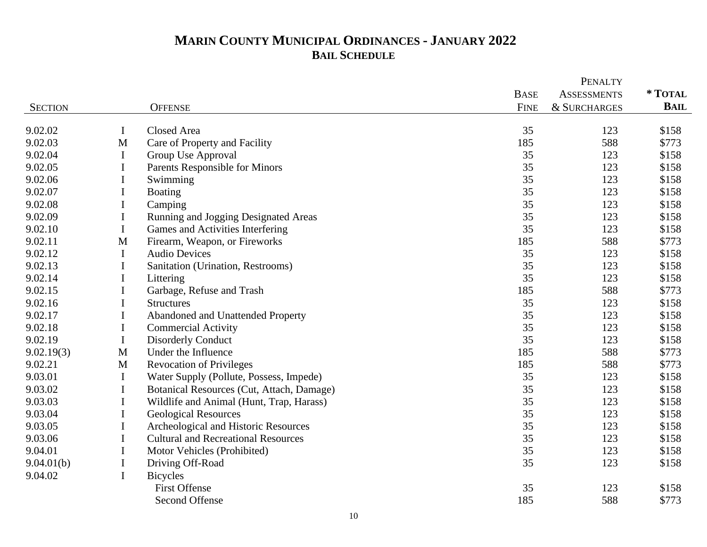|                |             |                                            |             | <b>PENALTY</b>     |             |
|----------------|-------------|--------------------------------------------|-------------|--------------------|-------------|
|                |             |                                            | <b>BASE</b> | <b>ASSESSMENTS</b> | * TOTAL     |
| <b>SECTION</b> |             | <b>OFFENSE</b>                             | <b>FINE</b> | & SURCHARGES       | <b>BAIL</b> |
| 9.02.02        | $\mathbf I$ | Closed Area                                | 35          | 123                | \$158       |
| 9.02.03        | $\mathbf M$ | Care of Property and Facility              | 185         | 588                | \$773       |
| 9.02.04        | I           | Group Use Approval                         | 35          | 123                | \$158       |
| 9.02.05        | I           | Parents Responsible for Minors             | 35          | 123                | \$158       |
| 9.02.06        | I           | Swimming                                   | 35          | 123                | \$158       |
| 9.02.07        | $\bf{I}$    | Boating                                    | 35          | 123                | \$158       |
| 9.02.08        | $\bf{I}$    | Camping                                    | 35          | 123                | \$158       |
| 9.02.09        | $\mathbf I$ | Running and Jogging Designated Areas       | 35          | 123                | \$158       |
| 9.02.10        | $\mathbf I$ | Games and Activities Interfering           | 35          | 123                | \$158       |
| 9.02.11        | $\mathbf M$ | Firearm, Weapon, or Fireworks              | 185         | 588                | \$773       |
| 9.02.12        | $\bf{I}$    | <b>Audio Devices</b>                       | 35          | 123                | \$158       |
| 9.02.13        | I           | Sanitation (Urination, Restrooms)          | 35          | 123                | \$158       |
| 9.02.14        | I           | Littering                                  | 35          | 123                | \$158       |
| 9.02.15        | I           | Garbage, Refuse and Trash                  | 185         | 588                | \$773       |
| 9.02.16        | I           | <b>Structures</b>                          | 35          | 123                | \$158       |
| 9.02.17        | I           | Abandoned and Unattended Property          | 35          | 123                | \$158       |
| 9.02.18        | $\bf{I}$    | <b>Commercial Activity</b>                 | 35          | 123                | \$158       |
| 9.02.19        | $\mathbf I$ | <b>Disorderly Conduct</b>                  | 35          | 123                | \$158       |
| 9.02.19(3)     | M           | Under the Influence                        | 185         | 588                | \$773       |
| 9.02.21        | M           | <b>Revocation of Privileges</b>            | 185         | 588                | \$773       |
| 9.03.01        | $\bf{I}$    | Water Supply (Pollute, Possess, Impede)    | 35          | 123                | \$158       |
| 9.03.02        | $\bf{I}$    | Botanical Resources (Cut, Attach, Damage)  | 35          | 123                | \$158       |
| 9.03.03        | $\mathbf I$ | Wildlife and Animal (Hunt, Trap, Harass)   | 35          | 123                | \$158       |
| 9.03.04        | $\bf{I}$    | <b>Geological Resources</b>                | 35          | 123                | \$158       |
| 9.03.05        | I           | Archeological and Historic Resources       | 35          | 123                | \$158       |
| 9.03.06        | $\mathbf I$ | <b>Cultural and Recreational Resources</b> | 35          | 123                | \$158       |
| 9.04.01        | I           | Motor Vehicles (Prohibited)                | 35          | 123                | \$158       |
| 9.04.01(b)     | I           | Driving Off-Road                           | 35          | 123                | \$158       |
| 9.04.02        | $\bf{I}$    | <b>Bicycles</b>                            |             |                    |             |
|                |             | <b>First Offense</b>                       | 35          | 123                | \$158       |
|                |             | Second Offense                             | 185         | 588                | \$773       |
|                |             |                                            |             |                    |             |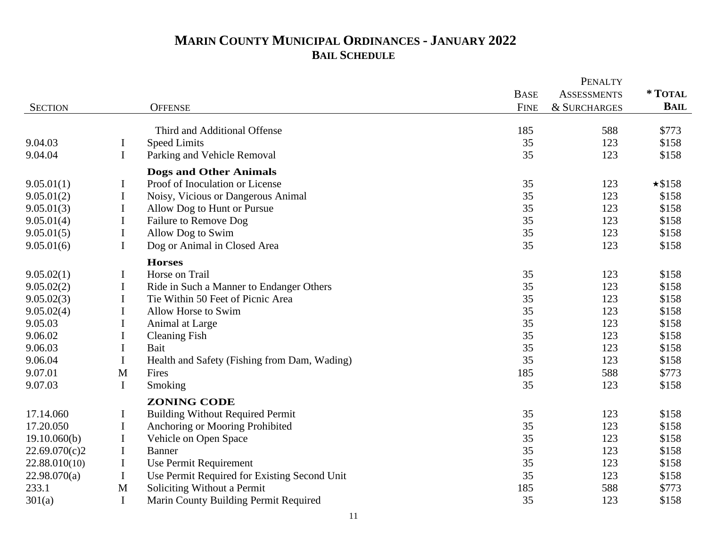|                |             |                                              |             | <b>PENALTY</b>     |               |
|----------------|-------------|----------------------------------------------|-------------|--------------------|---------------|
|                |             |                                              | <b>BASE</b> | <b>ASSESSMENTS</b> | * TOTAL       |
| <b>SECTION</b> |             | <b>OFFENSE</b>                               | <b>FINE</b> | & SURCHARGES       | <b>BAIL</b>   |
|                |             | Third and Additional Offense                 | 185         | 588                | \$773         |
| 9.04.03        | I           | <b>Speed Limits</b>                          | 35          | 123                | \$158         |
| 9.04.04        | $\mathbf I$ | Parking and Vehicle Removal                  | 35          | 123                | \$158         |
|                |             | <b>Dogs and Other Animals</b>                |             |                    |               |
| 9.05.01(1)     | Ι           | Proof of Inoculation or License              | 35          | 123                | $\star$ \$158 |
| 9.05.01(2)     | $\mathbf I$ | Noisy, Vicious or Dangerous Animal           | 35          | 123                | \$158         |
| 9.05.01(3)     | I           | Allow Dog to Hunt or Pursue                  | 35          | 123                | \$158         |
| 9.05.01(4)     | I           | Failure to Remove Dog                        | 35          | 123                | \$158         |
| 9.05.01(5)     | $\bf{I}$    | Allow Dog to Swim                            | 35          | 123                | \$158         |
| 9.05.01(6)     | $\mathbf I$ | Dog or Animal in Closed Area                 | 35          | 123                | \$158         |
|                |             | <b>Horses</b>                                |             |                    |               |
| 9.05.02(1)     | I           | Horse on Trail                               | 35          | 123                | \$158         |
| 9.05.02(2)     | $\bf{I}$    | Ride in Such a Manner to Endanger Others     | 35          | 123                | \$158         |
| 9.05.02(3)     | I           | Tie Within 50 Feet of Picnic Area            | 35          | 123                | \$158         |
| 9.05.02(4)     | I           | Allow Horse to Swim                          | 35          | 123                | \$158         |
| 9.05.03        | I           | Animal at Large                              | 35          | 123                | \$158         |
| 9.06.02        | I           | <b>Cleaning Fish</b>                         | 35          | 123                | \$158         |
| 9.06.03        | $\bf{I}$    | Bait                                         | 35          | 123                | \$158         |
| 9.06.04        | $\mathbf I$ | Health and Safety (Fishing from Dam, Wading) | 35          | 123                | \$158         |
| 9.07.01        | M           | Fires                                        | 185         | 588                | \$773         |
| 9.07.03        | $\bf{I}$    | Smoking                                      | 35          | 123                | \$158         |
|                |             | <b>ZONING CODE</b>                           |             |                    |               |
| 17.14.060      | I           | <b>Building Without Required Permit</b>      | 35          | 123                | \$158         |
| 17.20.050      | $\bf{I}$    | Anchoring or Mooring Prohibited              | 35          | 123                | \$158         |
| 19.10.060(b)   | $\bf{I}$    | Vehicle on Open Space                        | 35          | 123                | \$158         |
| 22.69.070(c)2  | $\mathbf I$ | Banner                                       | 35          | 123                | \$158         |
| 22.88.010(10)  | $\mathbf I$ | Use Permit Requirement                       | 35          | 123                | \$158         |
| 22.98.070(a)   | I           | Use Permit Required for Existing Second Unit | 35          | 123                | \$158         |
| 233.1          | $\mathbf M$ | Soliciting Without a Permit                  | 185         | 588                | \$773         |
| 301(a)         | $\bf{I}$    | Marin County Building Permit Required        | 35          | 123                | \$158         |